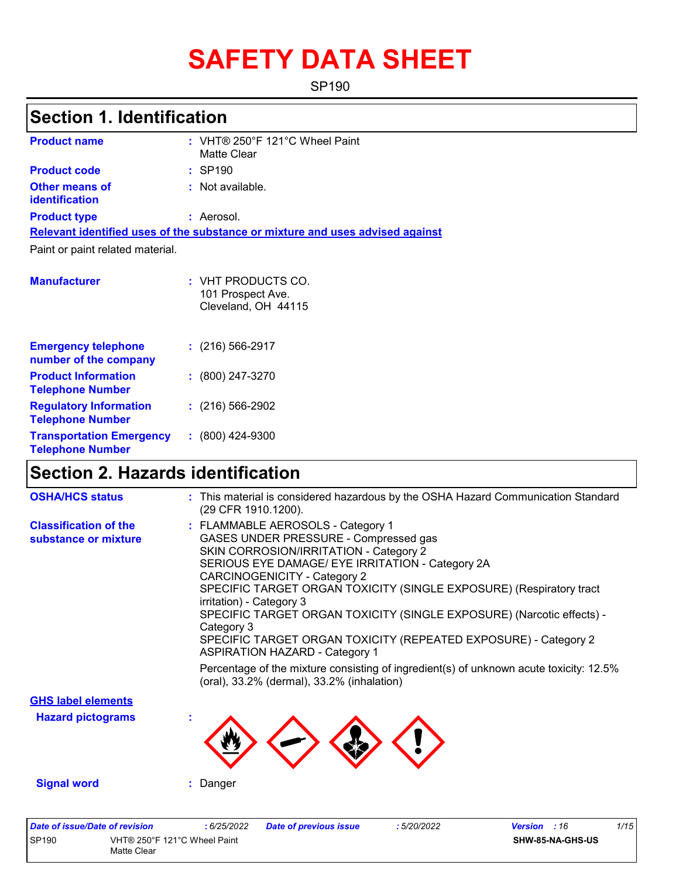# **SAFETY DATA SHEET**

SP190

# **Section 1. Identification**

| <b>Product name</b>                                   | : VHT® 250°F 121°C Wheel Paint<br>Matte Clear                                 |
|-------------------------------------------------------|-------------------------------------------------------------------------------|
| <b>Product code</b>                                   | : SP190                                                                       |
| Other means of<br><b>identification</b>               | : Not available.                                                              |
| <b>Product type</b>                                   | : Aerosol.                                                                    |
|                                                       | Relevant identified uses of the substance or mixture and uses advised against |
| Paint or paint related material.                      |                                                                               |
| <b>Manufacturer</b>                                   | $:$ VHT PRODUCTS CO.<br>101 Prospect Ave.<br>Cleveland, OH 44115              |
| <b>Emergency telephone</b><br>number of the company   | $\div$ (216) 566-2917                                                         |
| <b>Product Information</b><br><b>Telephone Number</b> | $\colon$ (800) 247-3270                                                       |

|                                                            | 101 Prospect Ave.<br>Cleveland, OH 44115 |
|------------------------------------------------------------|------------------------------------------|
| <b>Emergency telephone</b><br>number of the company        | $(216)$ 566-2917                         |
| <b>Product Information</b><br><b>Telephone Number</b>      | $: (800) 247 - 3270$                     |
| <b>Regulatory Information</b><br><b>Telephone Number</b>   | $: (216) 566 - 2902$                     |
| <b>Transportation Emergency</b><br><b>Telephone Number</b> | $: (800)$ 424-9300                       |

# **Section 2. Hazards identification**

| <b>OSHA/HCS status</b>                               | : This material is considered hazardous by the OSHA Hazard Communication Standard<br>(29 CFR 1910.1200).                                                                                                                                                                                                                                                                                                                                                                                                                                                                                                                                               |
|------------------------------------------------------|--------------------------------------------------------------------------------------------------------------------------------------------------------------------------------------------------------------------------------------------------------------------------------------------------------------------------------------------------------------------------------------------------------------------------------------------------------------------------------------------------------------------------------------------------------------------------------------------------------------------------------------------------------|
| <b>Classification of the</b><br>substance or mixture | : FLAMMABLE AEROSOLS - Category 1<br>GASES UNDER PRESSURE - Compressed gas<br>SKIN CORROSION/IRRITATION - Category 2<br>SERIOUS EYE DAMAGE/ EYE IRRITATION - Category 2A<br>CARCINOGENICITY - Category 2<br>SPECIFIC TARGET ORGAN TOXICITY (SINGLE EXPOSURE) (Respiratory tract<br>irritation) - Category 3<br>SPECIFIC TARGET ORGAN TOXICITY (SINGLE EXPOSURE) (Narcotic effects) -<br>Category 3<br>SPECIFIC TARGET ORGAN TOXICITY (REPEATED EXPOSURE) - Category 2<br><b>ASPIRATION HAZARD - Category 1</b><br>Percentage of the mixture consisting of ingredient(s) of unknown acute toxicity: 12.5%<br>(oral), 33.2% (dermal), 33.2% (inhalation) |
| <b>GHS label elements</b>                            |                                                                                                                                                                                                                                                                                                                                                                                                                                                                                                                                                                                                                                                        |
| <b>Hazard pictograms</b>                             |                                                                                                                                                                                                                                                                                                                                                                                                                                                                                                                                                                                                                                                        |
| <b>Signal word</b>                                   | : Danger                                                                                                                                                                                                                                                                                                                                                                                                                                                                                                                                                                                                                                               |

| Date of issue/Date of revision |                              | 6/25/2022 | Date of previous issue | : 5/20/2022 | <b>Version</b> : 16 |                  | 1/15 |
|--------------------------------|------------------------------|-----------|------------------------|-------------|---------------------|------------------|------|
| <b>SP190</b>                   | VHT® 250°F 121°C Wheel Paint |           |                        |             |                     | SHW-85-NA-GHS-US |      |
|                                | Matte Clear                  |           |                        |             |                     |                  |      |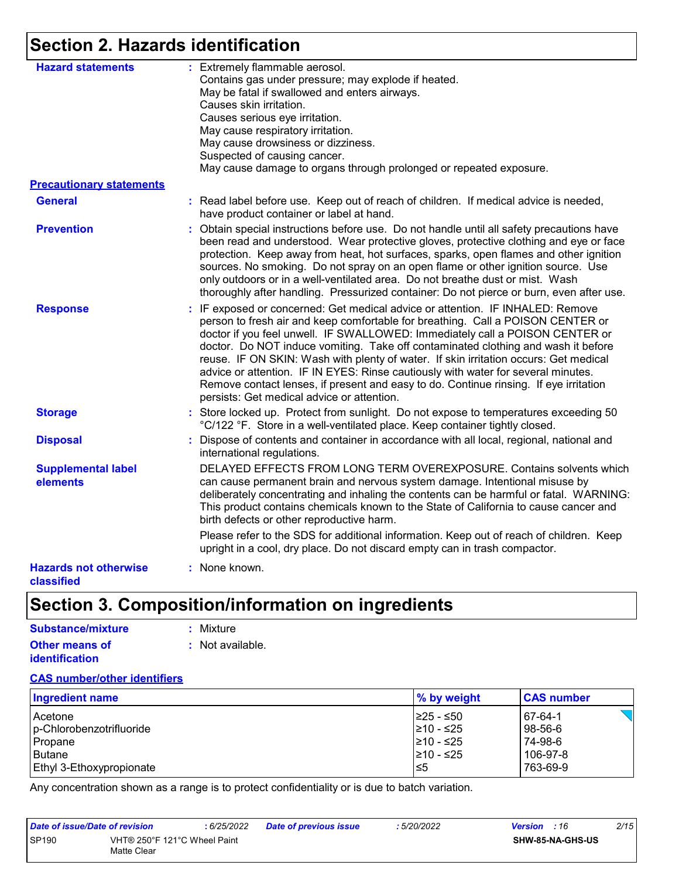# **Section 2. Hazards identification**

| <b>Hazard statements</b>                   | : Extremely flammable aerosol.<br>Contains gas under pressure; may explode if heated.<br>May be fatal if swallowed and enters airways.<br>Causes skin irritation.<br>Causes serious eye irritation.<br>May cause respiratory irritation.<br>May cause drowsiness or dizziness.<br>Suspected of causing cancer.<br>May cause damage to organs through prolonged or repeated exposure.                                                                                                                                                                                                                                                                       |
|--------------------------------------------|------------------------------------------------------------------------------------------------------------------------------------------------------------------------------------------------------------------------------------------------------------------------------------------------------------------------------------------------------------------------------------------------------------------------------------------------------------------------------------------------------------------------------------------------------------------------------------------------------------------------------------------------------------|
| <b>Precautionary statements</b>            |                                                                                                                                                                                                                                                                                                                                                                                                                                                                                                                                                                                                                                                            |
| <b>General</b>                             | : Read label before use. Keep out of reach of children. If medical advice is needed,<br>have product container or label at hand.                                                                                                                                                                                                                                                                                                                                                                                                                                                                                                                           |
| <b>Prevention</b>                          | : Obtain special instructions before use. Do not handle until all safety precautions have<br>been read and understood. Wear protective gloves, protective clothing and eye or face<br>protection. Keep away from heat, hot surfaces, sparks, open flames and other ignition<br>sources. No smoking. Do not spray on an open flame or other ignition source. Use<br>only outdoors or in a well-ventilated area. Do not breathe dust or mist. Wash<br>thoroughly after handling. Pressurized container: Do not pierce or burn, even after use.                                                                                                               |
| <b>Response</b>                            | : IF exposed or concerned: Get medical advice or attention. IF INHALED: Remove<br>person to fresh air and keep comfortable for breathing. Call a POISON CENTER or<br>doctor if you feel unwell. IF SWALLOWED: Immediately call a POISON CENTER or<br>doctor. Do NOT induce vomiting. Take off contaminated clothing and wash it before<br>reuse. IF ON SKIN: Wash with plenty of water. If skin irritation occurs: Get medical<br>advice or attention. IF IN EYES: Rinse cautiously with water for several minutes.<br>Remove contact lenses, if present and easy to do. Continue rinsing. If eye irritation<br>persists: Get medical advice or attention. |
| <b>Storage</b>                             | : Store locked up. Protect from sunlight. Do not expose to temperatures exceeding 50<br>°C/122 °F. Store in a well-ventilated place. Keep container tightly closed.                                                                                                                                                                                                                                                                                                                                                                                                                                                                                        |
| <b>Disposal</b>                            | Dispose of contents and container in accordance with all local, regional, national and<br>t.<br>international regulations.                                                                                                                                                                                                                                                                                                                                                                                                                                                                                                                                 |
| <b>Supplemental label</b><br>elements      | DELAYED EFFECTS FROM LONG TERM OVEREXPOSURE. Contains solvents which<br>can cause permanent brain and nervous system damage. Intentional misuse by<br>deliberately concentrating and inhaling the contents can be harmful or fatal. WARNING:<br>This product contains chemicals known to the State of California to cause cancer and<br>birth defects or other reproductive harm.                                                                                                                                                                                                                                                                          |
|                                            | Please refer to the SDS for additional information. Keep out of reach of children. Keep<br>upright in a cool, dry place. Do not discard empty can in trash compactor.                                                                                                                                                                                                                                                                                                                                                                                                                                                                                      |
| <b>Hazards not otherwise</b><br>classified | : None known.                                                                                                                                                                                                                                                                                                                                                                                                                                                                                                                                                                                                                                              |

# **Section 3. Composition/information on ingredients**

| Substance/mixture     | : Mixture        |
|-----------------------|------------------|
| <b>Other means of</b> | : Not available. |
| <b>identification</b> |                  |

#### **CAS number/other identifiers**

| <b>Ingredient name</b>          | % by weight | <b>CAS number</b> |
|---------------------------------|-------------|-------------------|
| Acetone                         | 225 - ≤50   | 67-64-1           |
| p-Chlorobenzotrifluoride        | 210 - ≤25   | 98-56-6           |
| Propane                         | 210 - ≤25   | 74-98-6           |
| <b>Butane</b>                   | 210 - ≤25   | 106-97-8          |
| <b>Ethyl 3-Ethoxypropionate</b> | l≤5         | 763-69-9          |

Any concentration shown as a range is to protect confidentiality or is due to batch variation.

| Date of issue/Date of revision |                                             | 6/25/2022 | <b>Date of previous issue</b> | : 5/20/2022 | <b>Version</b> : 16 |                         | 2/15 |
|--------------------------------|---------------------------------------------|-----------|-------------------------------|-------------|---------------------|-------------------------|------|
| <b>SP190</b>                   | VHT® 250°F 121°C Wheel Paint<br>Matte Clear |           |                               |             |                     | <b>SHW-85-NA-GHS-US</b> |      |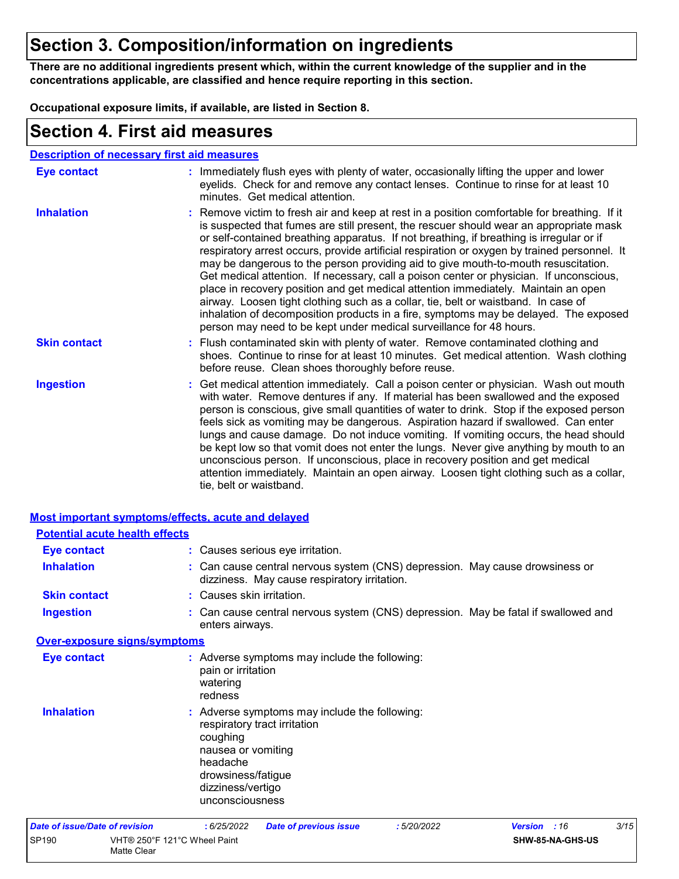# **Section 3. Composition/information on ingredients**

**There are no additional ingredients present which, within the current knowledge of the supplier and in the concentrations applicable, are classified and hence require reporting in this section.**

**Occupational exposure limits, if available, are listed in Section 8.**

### **Section 4. First aid measures**

Matte Clear

|                     | <b>Description of necessary first aid measures</b>                                                                                                                                                                                                                                                                                                                                                                                                                                                                                                                                                                                                                                                                                                                                                                                                                                                             |
|---------------------|----------------------------------------------------------------------------------------------------------------------------------------------------------------------------------------------------------------------------------------------------------------------------------------------------------------------------------------------------------------------------------------------------------------------------------------------------------------------------------------------------------------------------------------------------------------------------------------------------------------------------------------------------------------------------------------------------------------------------------------------------------------------------------------------------------------------------------------------------------------------------------------------------------------|
| <b>Eye contact</b>  | : Immediately flush eyes with plenty of water, occasionally lifting the upper and lower<br>eyelids. Check for and remove any contact lenses. Continue to rinse for at least 10<br>minutes. Get medical attention.                                                                                                                                                                                                                                                                                                                                                                                                                                                                                                                                                                                                                                                                                              |
| <b>Inhalation</b>   | : Remove victim to fresh air and keep at rest in a position comfortable for breathing. If it<br>is suspected that fumes are still present, the rescuer should wear an appropriate mask<br>or self-contained breathing apparatus. If not breathing, if breathing is irregular or if<br>respiratory arrest occurs, provide artificial respiration or oxygen by trained personnel. It<br>may be dangerous to the person providing aid to give mouth-to-mouth resuscitation.<br>Get medical attention. If necessary, call a poison center or physician. If unconscious,<br>place in recovery position and get medical attention immediately. Maintain an open<br>airway. Loosen tight clothing such as a collar, tie, belt or waistband. In case of<br>inhalation of decomposition products in a fire, symptoms may be delayed. The exposed<br>person may need to be kept under medical surveillance for 48 hours. |
| <b>Skin contact</b> | : Flush contaminated skin with plenty of water. Remove contaminated clothing and<br>shoes. Continue to rinse for at least 10 minutes. Get medical attention. Wash clothing<br>before reuse. Clean shoes thoroughly before reuse.                                                                                                                                                                                                                                                                                                                                                                                                                                                                                                                                                                                                                                                                               |
| <b>Ingestion</b>    | : Get medical attention immediately. Call a poison center or physician. Wash out mouth<br>with water. Remove dentures if any. If material has been swallowed and the exposed<br>person is conscious, give small quantities of water to drink. Stop if the exposed person<br>feels sick as vomiting may be dangerous. Aspiration hazard if swallowed. Can enter<br>lungs and cause damage. Do not induce vomiting. If vomiting occurs, the head should<br>be kept low so that vomit does not enter the lungs. Never give anything by mouth to an<br>unconscious person. If unconscious, place in recovery position and get medical<br>attention immediately. Maintain an open airway. Loosen tight clothing such as a collar,<br>tie, belt or waistband.                                                                                                                                                        |

| Most important symptoms/effects, acute and delayed |                                                                                                                                                                                           |
|----------------------------------------------------|-------------------------------------------------------------------------------------------------------------------------------------------------------------------------------------------|
| <b>Potential acute health effects</b>              |                                                                                                                                                                                           |
| <b>Eye contact</b>                                 | : Causes serious eye irritation.                                                                                                                                                          |
| <b>Inhalation</b>                                  | : Can cause central nervous system (CNS) depression. May cause drowsiness or<br>dizziness. May cause respiratory irritation.                                                              |
| <b>Skin contact</b>                                | : Causes skin irritation.                                                                                                                                                                 |
| <b>Ingestion</b>                                   | : Can cause central nervous system (CNS) depression. May be fatal if swallowed and<br>enters airways.                                                                                     |
| <b>Over-exposure signs/symptoms</b>                |                                                                                                                                                                                           |
| <b>Eye contact</b>                                 | : Adverse symptoms may include the following:<br>pain or irritation<br>watering<br>redness                                                                                                |
| <b>Inhalation</b>                                  | : Adverse symptoms may include the following:<br>respiratory tract irritation<br>coughing<br>nausea or vomiting<br>headache<br>drowsiness/fatigue<br>dizziness/vertigo<br>unconsciousness |
| <b>Date of issue/Date of revision</b>              | 3/15<br>: 5/20/2022<br>: 6/25/2022<br><b>Date of previous issue</b><br>:16<br><b>Version</b>                                                                                              |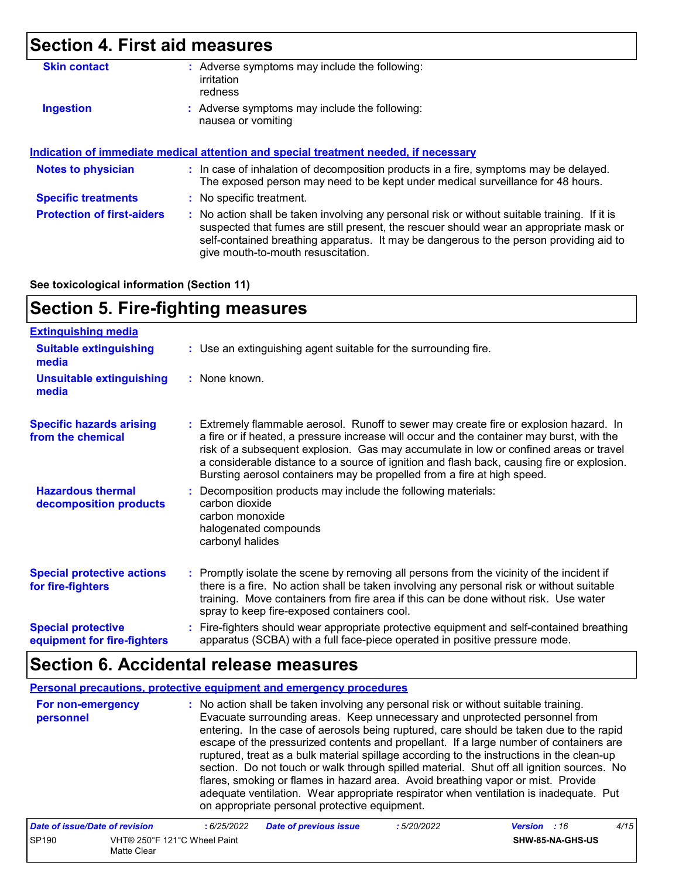# **Section 4. First aid measures**

| Adverse symptoms may include the following:<br>÷.<br>irritation<br>redness                                                                                                                                                                                                                                              |
|-------------------------------------------------------------------------------------------------------------------------------------------------------------------------------------------------------------------------------------------------------------------------------------------------------------------------|
| : Adverse symptoms may include the following:<br>nausea or vomiting                                                                                                                                                                                                                                                     |
| Indication of immediate medical attention and special treatment needed, if necessary                                                                                                                                                                                                                                    |
| : In case of inhalation of decomposition products in a fire, symptoms may be delayed.<br>The exposed person may need to be kept under medical surveillance for 48 hours.                                                                                                                                                |
| : No specific treatment.                                                                                                                                                                                                                                                                                                |
| : No action shall be taken involving any personal risk or without suitable training. If it is<br>suspected that fumes are still present, the rescuer should wear an appropriate mask or<br>self-contained breathing apparatus. It may be dangerous to the person providing aid to<br>give mouth-to-mouth resuscitation. |
|                                                                                                                                                                                                                                                                                                                         |

#### **See toxicological information (Section 11)**

### **Section 5. Fire-fighting measures**

| <b>Extinguishing media</b>                               |                                                                                                                                                                                                                                                                                                                                                                                                                                                       |
|----------------------------------------------------------|-------------------------------------------------------------------------------------------------------------------------------------------------------------------------------------------------------------------------------------------------------------------------------------------------------------------------------------------------------------------------------------------------------------------------------------------------------|
| <b>Suitable extinguishing</b><br>media                   | : Use an extinguishing agent suitable for the surrounding fire.                                                                                                                                                                                                                                                                                                                                                                                       |
| <b>Unsuitable extinguishing</b><br>media                 | : None known.                                                                                                                                                                                                                                                                                                                                                                                                                                         |
| <b>Specific hazards arising</b><br>from the chemical     | : Extremely flammable aerosol. Runoff to sewer may create fire or explosion hazard. In<br>a fire or if heated, a pressure increase will occur and the container may burst, with the<br>risk of a subsequent explosion. Gas may accumulate in low or confined areas or travel<br>a considerable distance to a source of ignition and flash back, causing fire or explosion.<br>Bursting aerosol containers may be propelled from a fire at high speed. |
| <b>Hazardous thermal</b><br>decomposition products       | Decomposition products may include the following materials:<br>carbon dioxide<br>carbon monoxide<br>halogenated compounds<br>carbonyl halides                                                                                                                                                                                                                                                                                                         |
| <b>Special protective actions</b><br>for fire-fighters   | : Promptly isolate the scene by removing all persons from the vicinity of the incident if<br>there is a fire. No action shall be taken involving any personal risk or without suitable<br>training. Move containers from fire area if this can be done without risk. Use water<br>spray to keep fire-exposed containers cool.                                                                                                                         |
| <b>Special protective</b><br>equipment for fire-fighters | : Fire-fighters should wear appropriate protective equipment and self-contained breathing<br>apparatus (SCBA) with a full face-piece operated in positive pressure mode.                                                                                                                                                                                                                                                                              |

# **Section 6. Accidental release measures**

**Personal precautions, protective equipment and emergency procedures**

| For non-emergency<br>personnel | : No action shall be taken involving any personal risk or without suitable training.<br>Evacuate surrounding areas. Keep unnecessary and unprotected personnel from<br>entering. In the case of aerosols being ruptured, care should be taken due to the rapid<br>escape of the pressurized contents and propellant. If a large number of containers are<br>ruptured, treat as a bulk material spillage according to the instructions in the clean-up<br>section. Do not touch or walk through spilled material. Shut off all ignition sources. No<br>flares, smoking or flames in hazard area. Avoid breathing vapor or mist. Provide |
|--------------------------------|----------------------------------------------------------------------------------------------------------------------------------------------------------------------------------------------------------------------------------------------------------------------------------------------------------------------------------------------------------------------------------------------------------------------------------------------------------------------------------------------------------------------------------------------------------------------------------------------------------------------------------------|
|                                | adequate ventilation. Wear appropriate respirator when ventilation is inadequate. Put<br>on appropriate personal protective equipment.                                                                                                                                                                                                                                                                                                                                                                                                                                                                                                 |

| Date of issue/Date of revision |                                             | : 6/25/2022 | <b>Date of previous issue</b> | : 5/20/2022 | <b>Version</b> : 16 |                         | 4/15 |
|--------------------------------|---------------------------------------------|-------------|-------------------------------|-------------|---------------------|-------------------------|------|
| SP <sub>190</sub>              | VHT® 250°F 121°C Wheel Paint<br>Matte Clear |             |                               |             |                     | <b>SHW-85-NA-GHS-US</b> |      |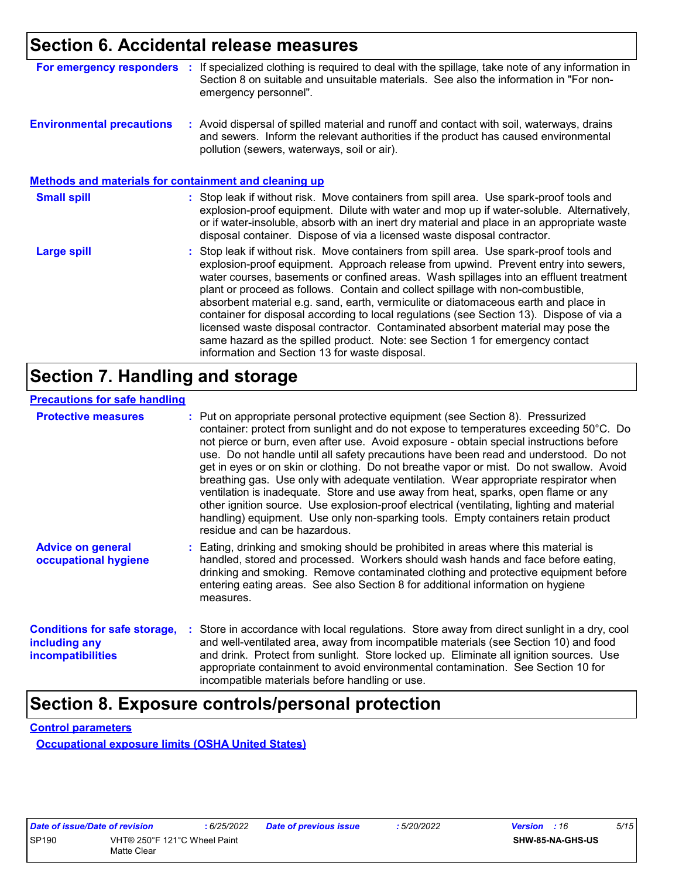### **Section 6. Accidental release measures**

| For emergency responders :                                   | If specialized clothing is required to deal with the spillage, take note of any information in<br>Section 8 on suitable and unsuitable materials. See also the information in "For non-<br>emergency personnel".                                                                                                                                                                                                                                                                                                                                                                                                                                                                                                                                                   |
|--------------------------------------------------------------|--------------------------------------------------------------------------------------------------------------------------------------------------------------------------------------------------------------------------------------------------------------------------------------------------------------------------------------------------------------------------------------------------------------------------------------------------------------------------------------------------------------------------------------------------------------------------------------------------------------------------------------------------------------------------------------------------------------------------------------------------------------------|
| <b>Environmental precautions</b>                             | : Avoid dispersal of spilled material and runoff and contact with soil, waterways, drains<br>and sewers. Inform the relevant authorities if the product has caused environmental<br>pollution (sewers, waterways, soil or air).                                                                                                                                                                                                                                                                                                                                                                                                                                                                                                                                    |
| <b>Methods and materials for containment and cleaning up</b> |                                                                                                                                                                                                                                                                                                                                                                                                                                                                                                                                                                                                                                                                                                                                                                    |
| <b>Small spill</b>                                           | : Stop leak if without risk. Move containers from spill area. Use spark-proof tools and<br>explosion-proof equipment. Dilute with water and mop up if water-soluble. Alternatively,<br>or if water-insoluble, absorb with an inert dry material and place in an appropriate waste<br>disposal container. Dispose of via a licensed waste disposal contractor.                                                                                                                                                                                                                                                                                                                                                                                                      |
| <b>Large spill</b>                                           | Stop leak if without risk. Move containers from spill area. Use spark-proof tools and<br>explosion-proof equipment. Approach release from upwind. Prevent entry into sewers,<br>water courses, basements or confined areas. Wash spillages into an effluent treatment<br>plant or proceed as follows. Contain and collect spillage with non-combustible,<br>absorbent material e.g. sand, earth, vermiculite or diatomaceous earth and place in<br>container for disposal according to local regulations (see Section 13). Dispose of via a<br>licensed waste disposal contractor. Contaminated absorbent material may pose the<br>same hazard as the spilled product. Note: see Section 1 for emergency contact<br>information and Section 13 for waste disposal. |

# **Section 7. Handling and storage**

#### **Precautions for safe handling**

| <b>Protective measures</b>                                                       | residue and can be hazardous.                  | : Put on appropriate personal protective equipment (see Section 8). Pressurized<br>container: protect from sunlight and do not expose to temperatures exceeding 50°C. Do<br>not pierce or burn, even after use. Avoid exposure - obtain special instructions before<br>use. Do not handle until all safety precautions have been read and understood. Do not<br>get in eyes or on skin or clothing. Do not breathe vapor or mist. Do not swallow. Avoid<br>breathing gas. Use only with adequate ventilation. Wear appropriate respirator when<br>ventilation is inadequate. Store and use away from heat, sparks, open flame or any<br>other ignition source. Use explosion-proof electrical (ventilating, lighting and material<br>handling) equipment. Use only non-sparking tools. Empty containers retain product |
|----------------------------------------------------------------------------------|------------------------------------------------|------------------------------------------------------------------------------------------------------------------------------------------------------------------------------------------------------------------------------------------------------------------------------------------------------------------------------------------------------------------------------------------------------------------------------------------------------------------------------------------------------------------------------------------------------------------------------------------------------------------------------------------------------------------------------------------------------------------------------------------------------------------------------------------------------------------------|
| <b>Advice on general</b><br>occupational hygiene                                 | measures.                                      | : Eating, drinking and smoking should be prohibited in areas where this material is<br>handled, stored and processed. Workers should wash hands and face before eating,<br>drinking and smoking. Remove contaminated clothing and protective equipment before<br>entering eating areas. See also Section 8 for additional information on hygiene                                                                                                                                                                                                                                                                                                                                                                                                                                                                       |
| <b>Conditions for safe storage,</b><br>including any<br><i>incompatibilities</i> | incompatible materials before handling or use. | : Store in accordance with local regulations. Store away from direct sunlight in a dry, cool<br>and well-ventilated area, away from incompatible materials (see Section 10) and food<br>and drink. Protect from sunlight. Store locked up. Eliminate all ignition sources. Use<br>appropriate containment to avoid environmental contamination. See Section 10 for                                                                                                                                                                                                                                                                                                                                                                                                                                                     |

### **Section 8. Exposure controls/personal protection**

#### **Control parameters**

**Occupational exposure limits (OSHA United States)**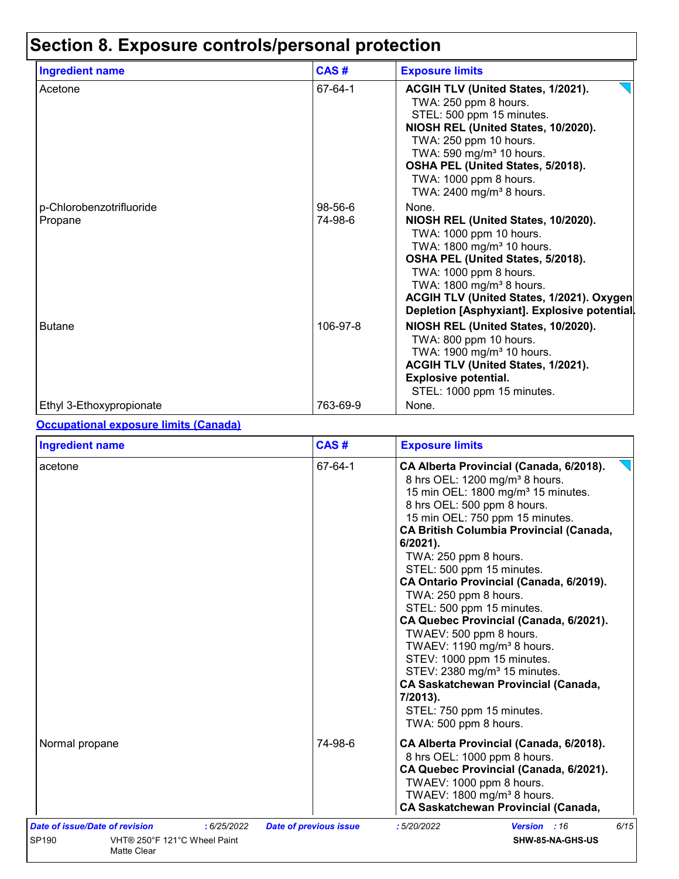# **Section 8. Exposure controls/personal protection**

| <b>Ingredient name</b>              | CAS#               | <b>Exposure limits</b>                                                                                                                                                                                                                                                                                               |
|-------------------------------------|--------------------|----------------------------------------------------------------------------------------------------------------------------------------------------------------------------------------------------------------------------------------------------------------------------------------------------------------------|
| Acetone                             | 67-64-1            | <b>ACGIH TLV (United States, 1/2021).</b><br>TWA: 250 ppm 8 hours.<br>STEL: 500 ppm 15 minutes.<br>NIOSH REL (United States, 10/2020).<br>TWA: 250 ppm 10 hours.<br>TWA: 590 mg/m <sup>3</sup> 10 hours.<br>OSHA PEL (United States, 5/2018).<br>TWA: 1000 ppm 8 hours.<br>TWA: 2400 mg/m <sup>3</sup> 8 hours.      |
| p-Chlorobenzotrifluoride<br>Propane | 98-56-6<br>74-98-6 | None.<br>NIOSH REL (United States, 10/2020).<br>TWA: 1000 ppm 10 hours.<br>TWA: 1800 mg/m <sup>3</sup> 10 hours.<br>OSHA PEL (United States, 5/2018).<br>TWA: 1000 ppm 8 hours.<br>TWA: 1800 mg/m <sup>3</sup> 8 hours.<br>ACGIH TLV (United States, 1/2021). Oxygen<br>Depletion [Asphyxiant]. Explosive potential. |
| <b>Butane</b>                       | 106-97-8           | NIOSH REL (United States, 10/2020).<br>TWA: 800 ppm 10 hours.<br>TWA: 1900 mg/m <sup>3</sup> 10 hours.<br>ACGIH TLV (United States, 1/2021).<br><b>Explosive potential.</b><br>STEL: 1000 ppm 15 minutes.                                                                                                            |
| Ethyl 3-Ethoxypropionate            | 763-69-9           | None.                                                                                                                                                                                                                                                                                                                |

#### **Occupational exposure limits (Canada)**

| <b>Ingredient name</b>                                                                                | CAS#                          | <b>Exposure limits</b>                                                                                                                                                                                                                                                                                                                                                                                                                                                                                                                                                                                                                                                                                                                  |  |  |
|-------------------------------------------------------------------------------------------------------|-------------------------------|-----------------------------------------------------------------------------------------------------------------------------------------------------------------------------------------------------------------------------------------------------------------------------------------------------------------------------------------------------------------------------------------------------------------------------------------------------------------------------------------------------------------------------------------------------------------------------------------------------------------------------------------------------------------------------------------------------------------------------------------|--|--|
| acetone                                                                                               | 67-64-1                       | CA Alberta Provincial (Canada, 6/2018).<br>8 hrs OEL: 1200 mg/m <sup>3</sup> 8 hours.<br>15 min OEL: 1800 mg/m <sup>3</sup> 15 minutes.<br>8 hrs OEL: 500 ppm 8 hours.<br>15 min OEL: 750 ppm 15 minutes.<br><b>CA British Columbia Provincial (Canada,</b><br>6/2021).<br>TWA: 250 ppm 8 hours.<br>STEL: 500 ppm 15 minutes.<br>CA Ontario Provincial (Canada, 6/2019).<br>TWA: 250 ppm 8 hours.<br>STEL: 500 ppm 15 minutes.<br>CA Quebec Provincial (Canada, 6/2021).<br>TWAEV: 500 ppm 8 hours.<br>TWAEV: 1190 mg/m <sup>3</sup> 8 hours.<br>STEV: 1000 ppm 15 minutes.<br>STEV: 2380 mg/m <sup>3</sup> 15 minutes.<br><b>CA Saskatchewan Provincial (Canada,</b><br>7/2013).<br>STEL: 750 ppm 15 minutes.<br>TWA: 500 ppm 8 hours. |  |  |
| Normal propane                                                                                        | 74-98-6                       | CA Alberta Provincial (Canada, 6/2018).<br>8 hrs OEL: 1000 ppm 8 hours.<br>CA Quebec Provincial (Canada, 6/2021).<br>TWAEV: 1000 ppm 8 hours.<br>TWAEV: 1800 mg/m <sup>3</sup> 8 hours.<br><b>CA Saskatchewan Provincial (Canada,</b>                                                                                                                                                                                                                                                                                                                                                                                                                                                                                                   |  |  |
| Date of issue/Date of revision<br>: 6/25/2022<br>SP190<br>VHT® 250°F 121°C Wheel Paint<br>Matte Clear | <b>Date of previous issue</b> | 6/15<br>:5/20/2022<br>Version : 16<br>SHW-85-NA-GHS-US                                                                                                                                                                                                                                                                                                                                                                                                                                                                                                                                                                                                                                                                                  |  |  |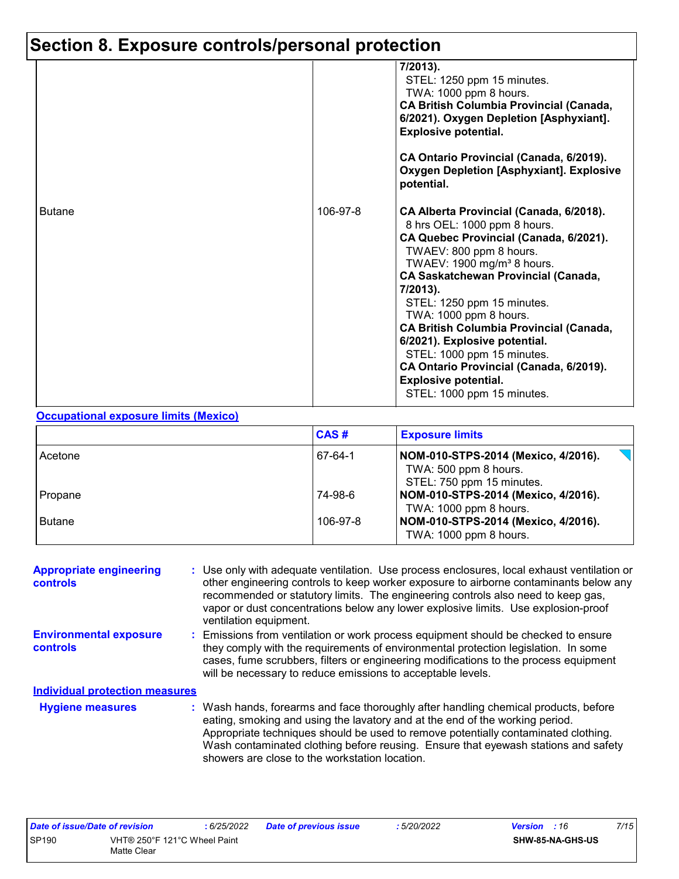# **Section 8. Exposure controls/personal protection**

|               |          | 7/2013).<br>STEL: 1250 ppm 15 minutes.<br>TWA: 1000 ppm 8 hours.<br><b>CA British Columbia Provincial (Canada,</b><br>6/2021). Oxygen Depletion [Asphyxiant].<br><b>Explosive potential.</b><br>CA Ontario Provincial (Canada, 6/2019).<br><b>Oxygen Depletion [Asphyxiant]. Explosive</b><br>potential.                                                                                                                                                                                                                            |
|---------------|----------|-------------------------------------------------------------------------------------------------------------------------------------------------------------------------------------------------------------------------------------------------------------------------------------------------------------------------------------------------------------------------------------------------------------------------------------------------------------------------------------------------------------------------------------|
| <b>Butane</b> | 106-97-8 | CA Alberta Provincial (Canada, 6/2018).<br>8 hrs OEL: 1000 ppm 8 hours.<br>CA Quebec Provincial (Canada, 6/2021).<br>TWAEV: 800 ppm 8 hours.<br>TWAEV: $1900$ mg/m <sup>3</sup> 8 hours.<br><b>CA Saskatchewan Provincial (Canada,</b><br>7/2013).<br>STEL: 1250 ppm 15 minutes.<br>TWA: 1000 ppm 8 hours.<br><b>CA British Columbia Provincial (Canada,</b><br>6/2021). Explosive potential.<br>STEL: 1000 ppm 15 minutes.<br>CA Ontario Provincial (Canada, 6/2019).<br><b>Explosive potential.</b><br>STEL: 1000 ppm 15 minutes. |

#### **Occupational exposure limits (Mexico)**

|               | CAS#     | <b>Exposure limits</b>                                                                    |
|---------------|----------|-------------------------------------------------------------------------------------------|
| Acetone       | 67-64-1  | NOM-010-STPS-2014 (Mexico, 4/2016).<br>TWA: 500 ppm 8 hours.<br>STEL: 750 ppm 15 minutes. |
| Propane       | 74-98-6  | NOM-010-STPS-2014 (Mexico, 4/2016).                                                       |
| <b>Butane</b> | 106-97-8 | TWA: 1000 ppm 8 hours.<br>NOM-010-STPS-2014 (Mexico, 4/2016).<br>TWA: 1000 ppm 8 hours.   |

| <b>Appropriate engineering</b><br><b>controls</b> | : Use only with adequate ventilation. Use process enclosures, local exhaust ventilation or<br>other engineering controls to keep worker exposure to airborne contaminants below any<br>recommended or statutory limits. The engineering controls also need to keep gas,<br>vapor or dust concentrations below any lower explosive limits. Use explosion-proof<br>ventilation equipment.           |
|---------------------------------------------------|---------------------------------------------------------------------------------------------------------------------------------------------------------------------------------------------------------------------------------------------------------------------------------------------------------------------------------------------------------------------------------------------------|
| <b>Environmental exposure</b><br><b>controls</b>  | : Emissions from ventilation or work process equipment should be checked to ensure<br>they comply with the requirements of environmental protection legislation. In some<br>cases, fume scrubbers, filters or engineering modifications to the process equipment<br>will be necessary to reduce emissions to acceptable levels.                                                                   |
| <b>Individual protection measures</b>             |                                                                                                                                                                                                                                                                                                                                                                                                   |
| <b>Hygiene measures</b>                           | : Wash hands, forearms and face thoroughly after handling chemical products, before<br>eating, smoking and using the lavatory and at the end of the working period.<br>Appropriate techniques should be used to remove potentially contaminated clothing.<br>Wash contaminated clothing before reusing. Ensure that eyewash stations and safety<br>showers are close to the workstation location. |

| Date of issue/Date of revision        |  | 6/25/2022 | Date of previous issue | 5/20/2022        | <b>Version</b> : 16 | 7/15 |
|---------------------------------------|--|-----------|------------------------|------------------|---------------------|------|
| SP190<br>VHT® 250°F 121°C Wheel Paint |  |           |                        | SHW-85-NA-GHS-US |                     |      |
| Matte Clear                           |  |           |                        |                  |                     |      |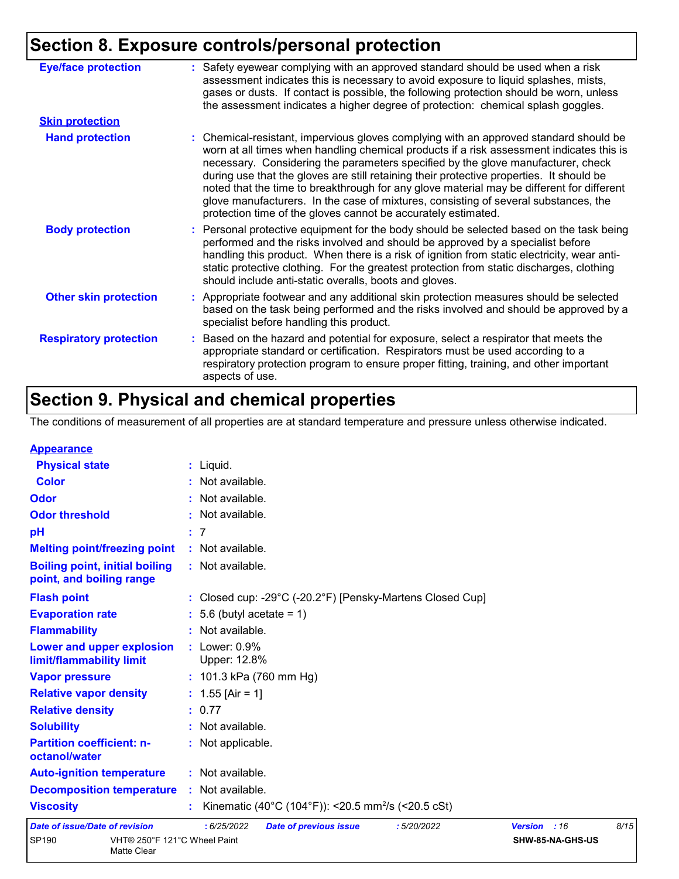# **Section 8. Exposure controls/personal protection**

| <b>Eye/face protection</b>    | : Safety eyewear complying with an approved standard should be used when a risk<br>assessment indicates this is necessary to avoid exposure to liquid splashes, mists,<br>gases or dusts. If contact is possible, the following protection should be worn, unless<br>the assessment indicates a higher degree of protection: chemical splash goggles.                                                                                                                                                                                                                                                                  |
|-------------------------------|------------------------------------------------------------------------------------------------------------------------------------------------------------------------------------------------------------------------------------------------------------------------------------------------------------------------------------------------------------------------------------------------------------------------------------------------------------------------------------------------------------------------------------------------------------------------------------------------------------------------|
| <b>Skin protection</b>        |                                                                                                                                                                                                                                                                                                                                                                                                                                                                                                                                                                                                                        |
| <b>Hand protection</b>        | : Chemical-resistant, impervious gloves complying with an approved standard should be<br>worn at all times when handling chemical products if a risk assessment indicates this is<br>necessary. Considering the parameters specified by the glove manufacturer, check<br>during use that the gloves are still retaining their protective properties. It should be<br>noted that the time to breakthrough for any glove material may be different for different<br>glove manufacturers. In the case of mixtures, consisting of several substances, the<br>protection time of the gloves cannot be accurately estimated. |
| <b>Body protection</b>        | : Personal protective equipment for the body should be selected based on the task being<br>performed and the risks involved and should be approved by a specialist before<br>handling this product. When there is a risk of ignition from static electricity, wear anti-<br>static protective clothing. For the greatest protection from static discharges, clothing<br>should include anti-static overalls, boots and gloves.                                                                                                                                                                                         |
| <b>Other skin protection</b>  | : Appropriate footwear and any additional skin protection measures should be selected<br>based on the task being performed and the risks involved and should be approved by a<br>specialist before handling this product.                                                                                                                                                                                                                                                                                                                                                                                              |
| <b>Respiratory protection</b> | : Based on the hazard and potential for exposure, select a respirator that meets the<br>appropriate standard or certification. Respirators must be used according to a<br>respiratory protection program to ensure proper fitting, training, and other important<br>aspects of use.                                                                                                                                                                                                                                                                                                                                    |

# **Section 9. Physical and chemical properties**

The conditions of measurement of all properties are at standard temperature and pressure unless otherwise indicated.

| <b>Appearance</b>                                                 |                                                                                 |              |                  |      |
|-------------------------------------------------------------------|---------------------------------------------------------------------------------|--------------|------------------|------|
| <b>Physical state</b>                                             | $:$ Liquid.                                                                     |              |                  |      |
| <b>Color</b>                                                      | : Not available.                                                                |              |                  |      |
| Odor                                                              | : Not available.                                                                |              |                  |      |
| <b>Odor threshold</b>                                             | : Not available.                                                                |              |                  |      |
| pH                                                                | : 7                                                                             |              |                  |      |
| <b>Melting point/freezing point</b>                               | : Not available.                                                                |              |                  |      |
| <b>Boiling point, initial boiling</b><br>point, and boiling range | : Not available.                                                                |              |                  |      |
| <b>Flash point</b>                                                | : Closed cup: -29 $^{\circ}$ C (-20.2 $^{\circ}$ F) [Pensky-Martens Closed Cup] |              |                  |      |
| <b>Evaporation rate</b>                                           | $: 5.6$ (butyl acetate = 1)                                                     |              |                  |      |
| <b>Flammability</b>                                               | : Not available.                                                                |              |                  |      |
| Lower and upper explosion<br>limit/flammability limit             | $:$ Lower: $0.9\%$<br>Upper: 12.8%                                              |              |                  |      |
| <b>Vapor pressure</b>                                             | : $101.3$ kPa (760 mm Hg)                                                       |              |                  |      |
| <b>Relative vapor density</b>                                     | : $1.55$ [Air = 1]                                                              |              |                  |      |
| <b>Relative density</b>                                           | : 0.77                                                                          |              |                  |      |
| <b>Solubility</b>                                                 | : Not available.                                                                |              |                  |      |
| <b>Partition coefficient: n-</b><br>octanol/water                 | : Not applicable.                                                               |              |                  |      |
| <b>Auto-ignition temperature</b>                                  | : Not available.                                                                |              |                  |      |
| <b>Decomposition temperature</b>                                  | : Not available.                                                                |              |                  |      |
| <b>Viscosity</b>                                                  | Kinematic (40°C (104°F)): <20.5 mm <sup>2</sup> /s (<20.5 cSt)                  |              |                  |      |
| <b>Date of issue/Date of revision</b>                             | :6/25/2022<br><b>Date of previous issue</b><br>:5/20/2022                       | Version : 16 |                  | 8/15 |
| <b>SP190</b><br>VHT® 250°F 121°C Wheel Paint                      |                                                                                 |              | SHW-85-NA-GHS-US |      |

| VHT® 250°F 121°C Wheel Paint |  |
|------------------------------|--|
| Matte Clear                  |  |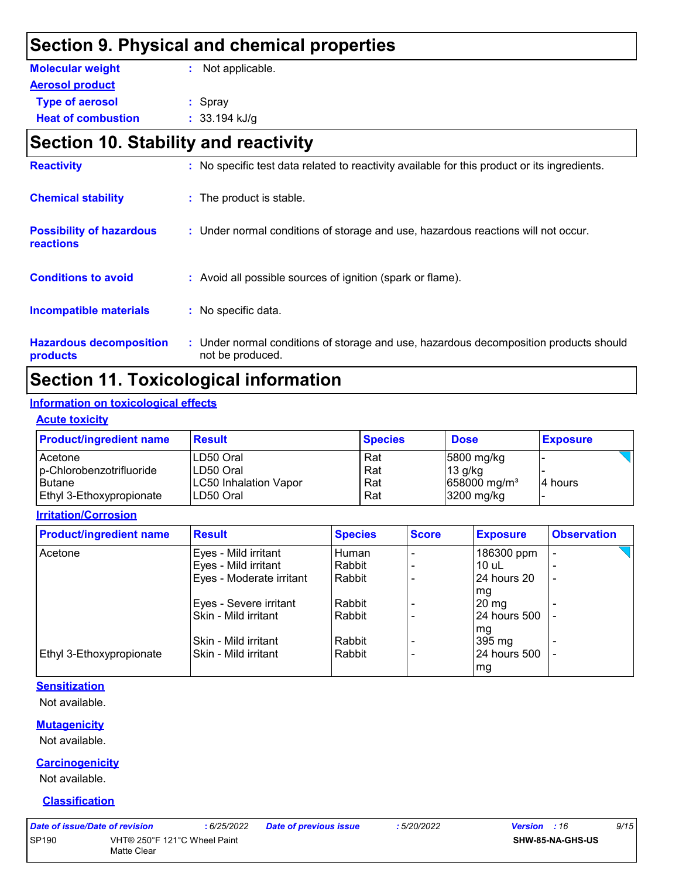### **Section 9. Physical and chemical properties**

| <b>Molecular weight</b>   | : Not applicable. |
|---------------------------|-------------------|
| <b>Aerosol product</b>    |                   |
| <b>Type of aerosol</b>    | $:$ Spray         |
| <b>Heat of combustion</b> | $: 33.194$ kJ/g   |

# **Section 10. Stability and reactivity**

| <b>Hazardous decomposition</b><br>products          | : Under normal conditions of storage and use, hazardous decomposition products should<br>not be produced. |
|-----------------------------------------------------|-----------------------------------------------------------------------------------------------------------|
| <b>Incompatible materials</b>                       | : No specific data.                                                                                       |
| <b>Conditions to avoid</b>                          | : Avoid all possible sources of ignition (spark or flame).                                                |
| <b>Possibility of hazardous</b><br><b>reactions</b> | : Under normal conditions of storage and use, hazardous reactions will not occur.                         |
| <b>Chemical stability</b>                           | : The product is stable.                                                                                  |
| <b>Reactivity</b>                                   | : No specific test data related to reactivity available for this product or its ingredients.              |

# **Section 11. Toxicological information**

#### **Information on toxicological effects**

#### **Acute toxicity**

| <b>Product/ingredient name</b> | <b>Result</b>                | <b>Species</b> | <b>Dose</b>              | <b>Exposure</b> |
|--------------------------------|------------------------------|----------------|--------------------------|-----------------|
| Acetone                        | LD50 Oral                    | Rat            | $ 5800 \text{ mg/kg} $   |                 |
| p-Chlorobenzotrifluoride       | LD50 Oral                    | Rat            | $13$ g/kg                |                 |
| l Butane                       | <b>LC50 Inhalation Vapor</b> | Rat            | 658000 mg/m <sup>3</sup> | 4 hours         |
| Ethyl 3-Ethoxypropionate       | ILD50 Oral                   | Rat            | $3200$ mg/kg             |                 |

#### **Irritation/Corrosion**

| <b>Product/ingredient name</b>  | <b>Result</b>            | <b>Species</b> | <b>Score</b> | <b>Exposure</b>    | <b>Observation</b> |  |
|---------------------------------|--------------------------|----------------|--------------|--------------------|--------------------|--|
| Acetone                         | Eyes - Mild irritant     | Human          |              | 186300 ppm         |                    |  |
|                                 | Eyes - Mild irritant     | Rabbit         |              | $10$ uL            |                    |  |
|                                 | Eyes - Moderate irritant | Rabbit         |              | 24 hours 20        | ٠                  |  |
|                                 |                          |                |              | mg                 |                    |  |
|                                 | Eyes - Severe irritant   | Rabbit         |              | $20 \,\mathrm{mg}$ |                    |  |
|                                 | Skin - Mild irritant     | Rabbit         |              | 24 hours 500       |                    |  |
|                                 |                          |                |              | mg                 |                    |  |
|                                 | Skin - Mild irritant     | Rabbit         |              | 395 mg             |                    |  |
| <b>Ethyl 3-Ethoxypropionate</b> | Skin - Mild irritant     | Rabbit         |              | 24 hours 500       |                    |  |
|                                 |                          |                |              | mg                 |                    |  |

#### **Sensitization**

Not available.

#### **Mutagenicity**

Not available.

#### **Carcinogenicity**

Not available.

#### **Classification**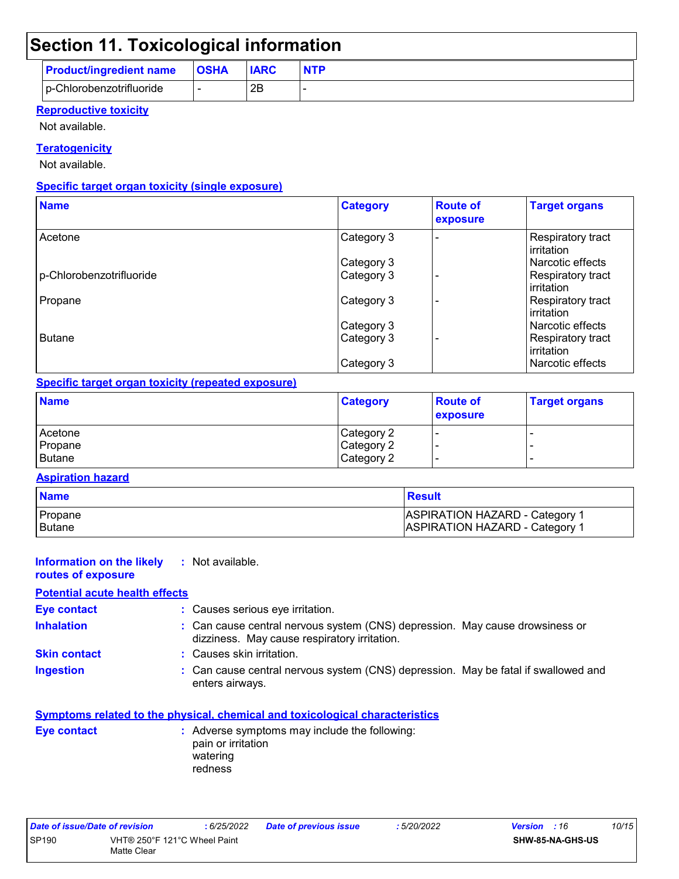# **Section 11. Toxicological information**

|                                | $\sim$      |             |            |
|--------------------------------|-------------|-------------|------------|
| <b>Product/ingredient name</b> | <b>OSHA</b> | <b>IARC</b> | <b>NTP</b> |
| p-Chlorobenzotrifluoride       |             | 2B          |            |

#### **Reproductive toxicity**

Not available.

#### **Teratogenicity**

Not available.

#### **Specific target organ toxicity (single exposure)**

| <b>Name</b>              | <b>Category</b> | <b>Route of</b><br>exposure | <b>Target organs</b>                    |
|--------------------------|-----------------|-----------------------------|-----------------------------------------|
| Acetone                  | Category 3      |                             | Respiratory tract<br>irritation         |
|                          | Category 3      |                             | l Narcotic effects                      |
| p-Chlorobenzotrifluoride | Category 3      |                             | Respiratory tract<br><b>lirritation</b> |
| Propane                  | Category 3      |                             | Respiratory tract<br><b>irritation</b>  |
|                          | Category 3      |                             | l Narcotic effects                      |
| Butane                   | Category 3      |                             | Respiratory tract<br><b>lirritation</b> |
|                          | Category 3      |                             | Narcotic effects                        |

#### **Specific target organ toxicity (repeated exposure)**

| <b>Name</b> | <b>Category</b> | <b>Route of</b><br>exposure | <b>Target organs</b> |
|-------------|-----------------|-----------------------------|----------------------|
| Acetone     | Category 2      |                             |                      |
| Propane     | Category 2      |                             |                      |
| Butane      | Category 2      |                             |                      |

#### **Aspiration hazard**

| <b>Name</b>   | Result                                    |
|---------------|-------------------------------------------|
| I Propane     | ASPIRATION HAZARD - Category <sup>1</sup> |
| <b>Butane</b> | ASPIRATION HAZARD - Category 1            |

| Information on the likely<br>routes of exposure | : Not available.                                                                                                             |  |
|-------------------------------------------------|------------------------------------------------------------------------------------------------------------------------------|--|
| <b>Potential acute health effects</b>           |                                                                                                                              |  |
| Eye contact                                     | : Causes serious eye irritation.                                                                                             |  |
| <b>Inhalation</b>                               | : Can cause central nervous system (CNS) depression. May cause drowsiness or<br>dizziness. May cause respiratory irritation. |  |
| <b>Skin contact</b>                             | : Causes skin irritation.                                                                                                    |  |
| <b>Ingestion</b>                                | : Can cause central nervous system (CNS) depression. May be fatal if swallowed and<br>enters airways.                        |  |
|                                                 |                                                                                                                              |  |

|             | Symptoms related to the physical, chemical and toxicological characteristics               |
|-------------|--------------------------------------------------------------------------------------------|
| Eye contact | : Adverse symptoms may include the following:<br>pain or irritation<br>watering<br>redness |

| Date of issue/Date of revision |                                             | : 6/25/2022 | <b>Date of previous issue</b> | 5/20/2022 | <b>Version</b> : 16 |                         | 10/15 |
|--------------------------------|---------------------------------------------|-------------|-------------------------------|-----------|---------------------|-------------------------|-------|
| <b>SP190</b>                   | VHT® 250°F 121°C Wheel Paint<br>Matte Clear |             |                               |           |                     | <b>SHW-85-NA-GHS-US</b> |       |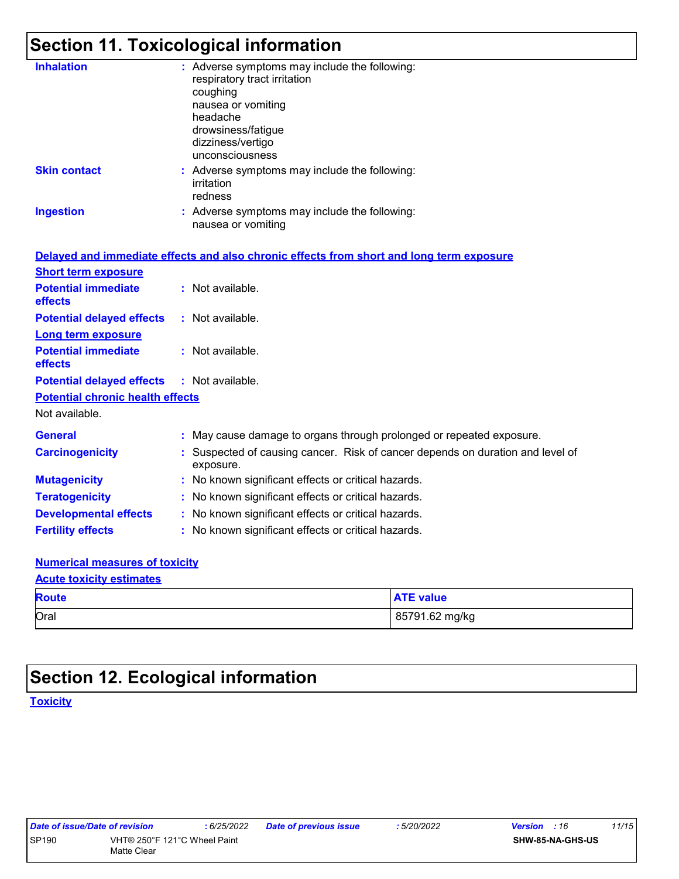# **Section 11. Toxicological information**

| <b>Inhalation</b>                       | : Adverse symptoms may include the following:<br>respiratory tract irritation<br>coughing<br>nausea or vomiting<br>headache<br>drowsiness/fatigue<br>dizziness/vertigo<br>unconsciousness |
|-----------------------------------------|-------------------------------------------------------------------------------------------------------------------------------------------------------------------------------------------|
| <b>Skin contact</b>                     | : Adverse symptoms may include the following:<br>irritation<br>redness                                                                                                                    |
| <b>Ingestion</b>                        | : Adverse symptoms may include the following:<br>nausea or vomiting                                                                                                                       |
|                                         | Delayed and immediate effects and also chronic effects from short and long term exposure                                                                                                  |
| <b>Short term exposure</b>              |                                                                                                                                                                                           |
| <b>Potential immediate</b><br>effects   | : Not available.                                                                                                                                                                          |
| <b>Potential delayed effects</b>        | $:$ Not available.                                                                                                                                                                        |
| <b>Long term exposure</b>               |                                                                                                                                                                                           |
| <b>Potential immediate</b><br>effects   | : Not available.                                                                                                                                                                          |
| <b>Potential delayed effects</b>        | : Not available.                                                                                                                                                                          |
| <b>Potential chronic health effects</b> |                                                                                                                                                                                           |
| Not available.                          |                                                                                                                                                                                           |

| <b>General</b>               | : May cause damage to organs through prolonged or repeated exposure.                        |  |
|------------------------------|---------------------------------------------------------------------------------------------|--|
| <b>Carcinogenicity</b>       | : Suspected of causing cancer. Risk of cancer depends on duration and level of<br>exposure. |  |
| <b>Mutagenicity</b>          | : No known significant effects or critical hazards.                                         |  |
| <b>Teratogenicity</b>        | : No known significant effects or critical hazards.                                         |  |
| <b>Developmental effects</b> | : No known significant effects or critical hazards.                                         |  |
| <b>Fertility effects</b>     | : No known significant effects or critical hazards.                                         |  |

#### **Numerical measures of toxicity**

| <b>Acute toxicity estimates</b> |                  |  |
|---------------------------------|------------------|--|
| <b>Route</b>                    | <b>ATE value</b> |  |
| Oral                            | 85791.62 mg/kg   |  |

# **Section 12. Ecological information**

**Toxicity**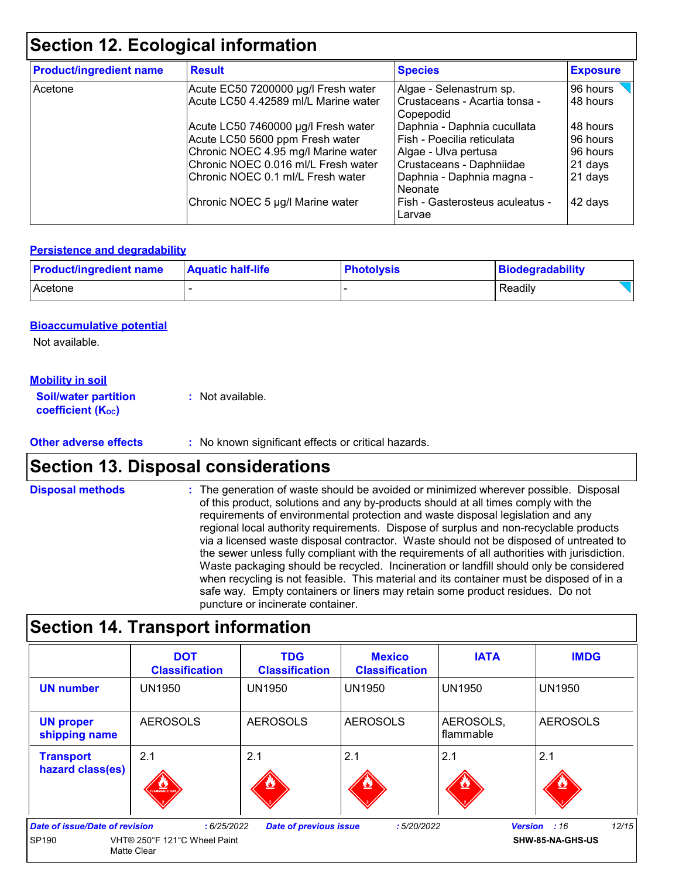# **Section 12. Ecological information**

| <b>Product/ingredient name</b> | <b>Result</b>                        | <b>Species</b>                             | <b>Exposure</b> |
|--------------------------------|--------------------------------------|--------------------------------------------|-----------------|
| Acetone                        | Acute EC50 7200000 µg/l Fresh water  | Algae - Selenastrum sp.                    | 96 hours        |
|                                | Acute LC50 4.42589 ml/L Marine water | Crustaceans - Acartia tonsa -<br>Copepodid | 48 hours        |
|                                | Acute LC50 7460000 µg/l Fresh water  | Daphnia - Daphnia cucullata                | 48 hours        |
|                                | Acute LC50 5600 ppm Fresh water      | Fish - Poecilia reticulata                 | 96 hours        |
|                                | Chronic NOEC 4.95 mg/l Marine water  | Algae - Ulva pertusa                       | 96 hours        |
|                                | Chronic NOEC 0.016 ml/L Fresh water  | Crustaceans - Daphniidae                   | 21 days         |
|                                | Chronic NOEC 0.1 ml/L Fresh water    | Daphnia - Daphnia magna -<br>Neonate       | 21 days         |
|                                | Chronic NOEC 5 µg/l Marine water     | Fish - Gasterosteus aculeatus -<br>Larvae  | 42 days         |

#### **Persistence and degradability**

| <b>Product/ingredient name</b> | <b>Aquatic half-life</b> | <b>Photolysis</b> | Biodegradability |  |
|--------------------------------|--------------------------|-------------------|------------------|--|
| Acetone                        |                          |                   | Readily          |  |

#### **Bioaccumulative potential**

Not available.

#### **Mobility in soil**

| <b>Soil/water partition</b> | : Not available. |
|-----------------------------|------------------|
| <b>coefficient (Koc)</b>    |                  |

#### **Other adverse effects :** No known significant effects or critical hazards.

### **Section 13. Disposal considerations**

The generation of waste should be avoided or minimized wherever possible. Disposal of this product, solutions and any by-products should at all times comply with the requirements of environmental protection and waste disposal legislation and any regional local authority requirements. Dispose of surplus and non-recyclable products via a licensed waste disposal contractor. Waste should not be disposed of untreated to the sewer unless fully compliant with the requirements of all authorities with jurisdiction. Waste packaging should be recycled. Incineration or landfill should only be considered when recycling is not feasible. This material and its container must be disposed of in a safe way. Empty containers or liners may retain some product residues. Do not puncture or incinerate container. **Disposal methods :**

### **Section 14. Transport information**

|                                                | <b>DOT</b><br><b>Classification</b>                              | <b>TDG</b><br><b>Classification</b> | <b>Mexico</b><br><b>Classification</b> | <b>IATA</b>            | <b>IMDG</b>                                        |
|------------------------------------------------|------------------------------------------------------------------|-------------------------------------|----------------------------------------|------------------------|----------------------------------------------------|
| <b>UN number</b>                               | <b>UN1950</b>                                                    | <b>UN1950</b>                       | <b>UN1950</b>                          | <b>UN1950</b>          | <b>UN1950</b>                                      |
| <b>UN proper</b><br>shipping name              | <b>AEROSOLS</b>                                                  | <b>AEROSOLS</b>                     | <b>AEROSOLS</b>                        | AEROSOLS,<br>flammable | <b>AEROSOLS</b>                                    |
| <b>Transport</b><br>hazard class(es)           | 2.1<br>AMMABLE GAL                                               | 2.1                                 | 2.1                                    | 2.1                    | 2.1                                                |
| <b>Date of issue/Date of revision</b><br>SP190 | :6/25/2022<br>VHT® 250°F 121°C Wheel Paint<br><b>Matte Clear</b> | <b>Date of previous issue</b>       | :5/20/2022                             |                        | 12/15<br><b>Version</b><br>:16<br>SHW-85-NA-GHS-US |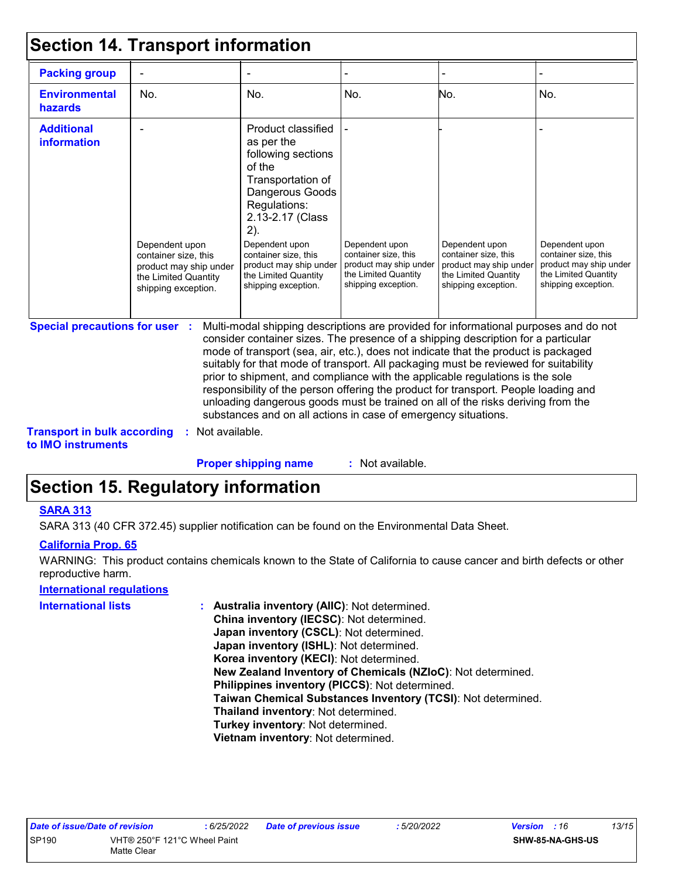### **Section 14. Transport information**

| <b>Packing group</b>                    |                                                                                                                 |                                                                                                                                                                                                                                                                        |                                                                                                                 |                                                                                                                 |                                                                                                                 |
|-----------------------------------------|-----------------------------------------------------------------------------------------------------------------|------------------------------------------------------------------------------------------------------------------------------------------------------------------------------------------------------------------------------------------------------------------------|-----------------------------------------------------------------------------------------------------------------|-----------------------------------------------------------------------------------------------------------------|-----------------------------------------------------------------------------------------------------------------|
| <b>Environmental</b><br><b>hazards</b>  | No.                                                                                                             | No.                                                                                                                                                                                                                                                                    | No.                                                                                                             | No.                                                                                                             | No.                                                                                                             |
| <b>Additional</b><br><i>information</i> | Dependent upon<br>container size, this<br>product may ship under<br>the Limited Quantity<br>shipping exception. | Product classified<br>as per the<br>following sections<br>of the<br>Transportation of<br>Dangerous Goods<br>Regulations:<br>2.13-2.17 (Class<br>2).<br>Dependent upon<br>container size, this<br>product may ship under<br>the Limited Quantity<br>shipping exception. | Dependent upon<br>container size, this<br>product may ship under<br>the Limited Quantity<br>shipping exception. | Dependent upon<br>container size, this<br>product may ship under<br>the Limited Quantity<br>shipping exception. | Dependent upon<br>container size, this<br>product may ship under<br>the Limited Quantity<br>shipping exception. |

**Special precautions for user :** Multi-modal shipping descriptions are provided for informational purposes and do not consider container sizes. The presence of a shipping description for a particular mode of transport (sea, air, etc.), does not indicate that the product is packaged suitably for that mode of transport. All packaging must be reviewed for suitability prior to shipment, and compliance with the applicable regulations is the sole responsibility of the person offering the product for transport. People loading and unloading dangerous goods must be trained on all of the risks deriving from the substances and on all actions in case of emergency situations.

**Transport in bulk according :** Not available. **to IMO instruments**

> : Not available. **Proper shipping name :**

## **Section 15. Regulatory information**

#### **SARA 313**

SARA 313 (40 CFR 372.45) supplier notification can be found on the Environmental Data Sheet.

#### **California Prop. 65**

WARNING: This product contains chemicals known to the State of California to cause cancer and birth defects or other reproductive harm.

#### **International regulations**

| <b>International lists</b> | : Australia inventory (AIIC): Not determined.                |
|----------------------------|--------------------------------------------------------------|
|                            | China inventory (IECSC): Not determined.                     |
|                            | Japan inventory (CSCL): Not determined.                      |
|                            | Japan inventory (ISHL): Not determined.                      |
|                            | Korea inventory (KECI): Not determined.                      |
|                            | New Zealand Inventory of Chemicals (NZIoC): Not determined.  |
|                            | Philippines inventory (PICCS): Not determined.               |
|                            | Taiwan Chemical Substances Inventory (TCSI): Not determined. |
|                            | Thailand inventory: Not determined.                          |
|                            | Turkey inventory: Not determined.                            |
|                            | Vietnam inventory: Not determined.                           |
|                            |                                                              |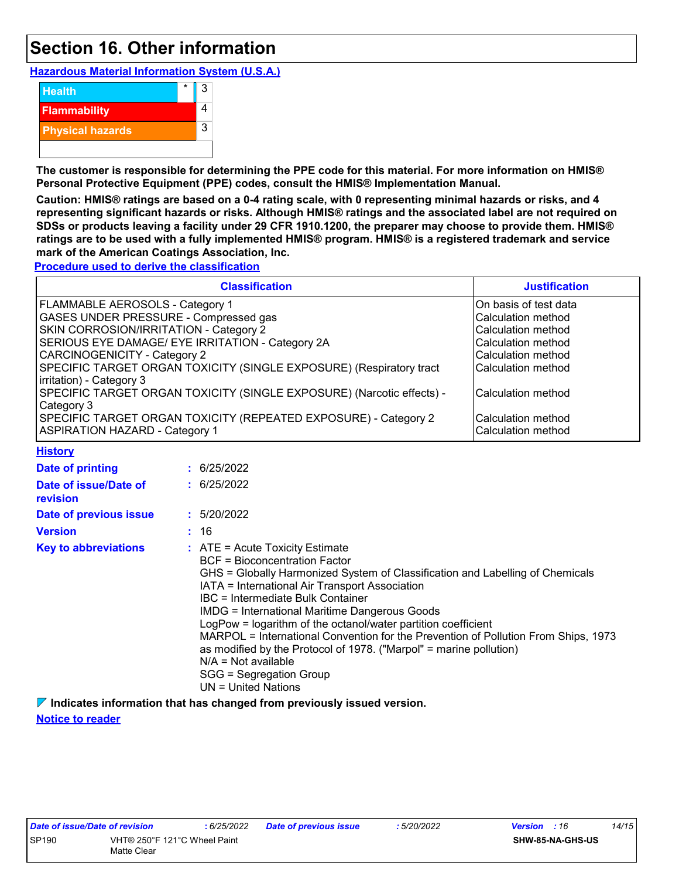### **Section 16. Other information**

**Hazardous Material Information System (U.S.A.)**



**The customer is responsible for determining the PPE code for this material. For more information on HMIS® Personal Protective Equipment (PPE) codes, consult the HMIS® Implementation Manual.**

**Caution: HMIS® ratings are based on a 0-4 rating scale, with 0 representing minimal hazards or risks, and 4 representing significant hazards or risks. Although HMIS® ratings and the associated label are not required on SDSs or products leaving a facility under 29 CFR 1910.1200, the preparer may choose to provide them. HMIS® ratings are to be used with a fully implemented HMIS® program. HMIS® is a registered trademark and service mark of the American Coatings Association, Inc.**

**Procedure used to derive the classification**

| <b>Classification</b>                                                 | <b>Justification</b>  |
|-----------------------------------------------------------------------|-----------------------|
| FLAMMABLE AEROSOLS - Category 1                                       | On basis of test data |
| GASES UNDER PRESSURE - Compressed gas                                 | Calculation method    |
| SKIN CORROSION/IRRITATION - Category 2                                | Calculation method    |
| SERIOUS EYE DAMAGE/ EYE IRRITATION - Category 2A                      | Calculation method    |
| CARCINOGENICITY - Category 2                                          | Calculation method    |
| SPECIFIC TARGET ORGAN TOXICITY (SINGLE EXPOSURE) (Respiratory tract   | Calculation method    |
| irritation) - Category 3                                              |                       |
| SPECIFIC TARGET ORGAN TOXICITY (SINGLE EXPOSURE) (Narcotic effects) - | Calculation method    |
| Category 3                                                            |                       |
| SPECIFIC TARGET ORGAN TOXICITY (REPEATED EXPOSURE) - Category 2       | Calculation method    |
| <b>ASPIRATION HAZARD - Category 1</b>                                 | Calculation method    |

| <b>History</b> |
|----------------|
|----------------|

| . <del>.</del> <b>.</b>           |                                                                                                                                                                                                                                                                                                                                                                                                                                                                                                                                                                                                                       |
|-----------------------------------|-----------------------------------------------------------------------------------------------------------------------------------------------------------------------------------------------------------------------------------------------------------------------------------------------------------------------------------------------------------------------------------------------------------------------------------------------------------------------------------------------------------------------------------------------------------------------------------------------------------------------|
| Date of printing                  | : 6/25/2022                                                                                                                                                                                                                                                                                                                                                                                                                                                                                                                                                                                                           |
| Date of issue/Date of<br>revision | : 6/25/2022                                                                                                                                                                                                                                                                                                                                                                                                                                                                                                                                                                                                           |
| Date of previous issue            | : 5/20/2022                                                                                                                                                                                                                                                                                                                                                                                                                                                                                                                                                                                                           |
| <b>Version</b>                    | : 16                                                                                                                                                                                                                                                                                                                                                                                                                                                                                                                                                                                                                  |
| <b>Key to abbreviations</b>       | $\therefore$ ATE = Acute Toxicity Estimate<br>BCF = Bioconcentration Factor<br>GHS = Globally Harmonized System of Classification and Labelling of Chemicals<br>IATA = International Air Transport Association<br>IBC = Intermediate Bulk Container<br><b>IMDG = International Maritime Dangerous Goods</b><br>LogPow = logarithm of the octanol/water partition coefficient<br>MARPOL = International Convention for the Prevention of Pollution From Ships, 1973<br>as modified by the Protocol of 1978. ("Marpol" = marine pollution)<br>$N/A = Not available$<br>SGG = Segregation Group<br>$UN = United Nations$ |

**Indicates information that has changed from previously issued version.**

$$
: 5/20/2022
$$